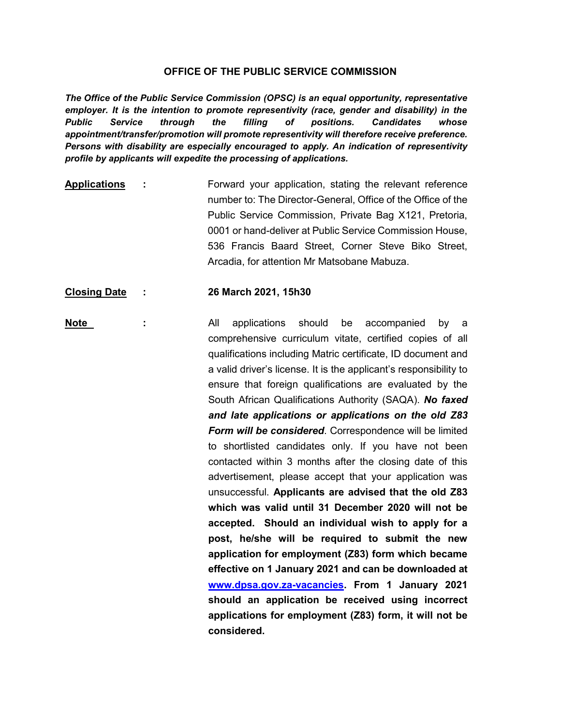## **OFFICE OF THE PUBLIC SERVICE COMMISSION**

*The Office of the Public Service Commission (OPSC) is an equal opportunity, representative*  employer. It is the intention to promote representivity (race, gender and disability) in the *Public Service through the filling of positions. Candidates whose appointment/transfer/promotion will promote representivity will therefore receive preference. Persons with disability are especially encouraged to apply. An indication of representivity profile by applicants will expedite the processing of applications.*

**Applications :** Forward your application, stating the relevant reference number to: The Director-General, Office of the Office of the Public Service Commission, Private Bag X121, Pretoria, 0001 or hand-deliver at Public Service Commission House, 536 Francis Baard Street, Corner Steve Biko Street, Arcadia, for attention Mr Matsobane Mabuza.

## **Closing Date : 26 March 2021, 15h30**

**Note :** All applications should be accompanied by a comprehensive curriculum vitate, certified copies of all qualifications including Matric certificate, ID document and a valid driver's license. It is the applicant's responsibility to ensure that foreign qualifications are evaluated by the South African Qualifications Authority (SAQA). *No faxed and late applications or applications on the old Z83 Form will be considered*. Correspondence will be limited to shortlisted candidates only. If you have not been contacted within 3 months after the closing date of this advertisement, please accept that your application was unsuccessful. **Applicants are advised that the old Z83 which was valid until 31 December 2020 will not be accepted. Should an individual wish to apply for a post, he/she will be required to submit the new application for employment (Z83) form which became effective on 1 January 2021 and can be downloaded at [www.dpsa.gov.za-vacancies.](http://www.dpsa.gov.za-vacancies/) From 1 January 2021 should an application be received using incorrect applications for employment (Z83) form, it will not be considered.**